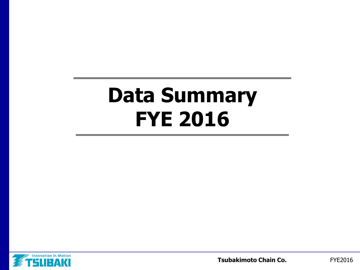# **Data Summary FYE 2016**

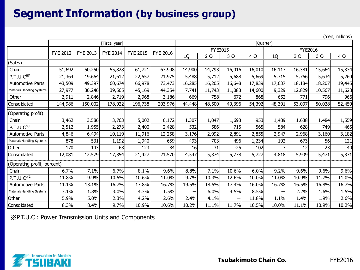#### **Segment Information (by business group)**

|                             |                 |                 |                 |                 |                 |                |        |        |        |                |        |        | (Yen, millions) |
|-----------------------------|-----------------|-----------------|-----------------|-----------------|-----------------|----------------|--------|--------|--------|----------------|--------|--------|-----------------|
|                             |                 |                 | [Fiscal year]   |                 |                 | [Quarter]      |        |        |        |                |        |        |                 |
|                             | <b>FYE 2012</b> | <b>FYE 2013</b> | <b>FYE 2014</b> | <b>FYE 2015</b> | <b>FYE 2016</b> | <b>FYE2015</b> |        |        |        | <b>FYE2016</b> |        |        |                 |
|                             |                 |                 |                 |                 |                 | 1Q             | 2Q     | 3 Q    | 4 Q    | 1Q             | 2Q     | 3 Q    | 4 Q             |
| (Sales)                     |                 |                 |                 |                 |                 |                |        |        |        |                |        |        |                 |
| Chain                       | 51,692          | 50,250          | 55,828          | 61,721          | 63,998          | 14,900         | 14,793 | 16,016 | 16,010 | 16,117         | 16,381 | 15,664 | 15,834          |
| $P.T.U.C^{\times 1}$        | 21,364          | 19,664          | 21,612          | 22,557          | 21,975          | 5,488          | 5,712  | 5,688  | 5,669  | 5,315          | 5,766  | 5,634  | 5,260           |
| <b>Automotive Parts</b>     | 43,509          | 49,397          | 60,674          | 66,978          | 73,473          | 16,285         | 16,205 | 16,648 | 17,839 | 17,637         | 18,184 | 18,207 | 19,445          |
| Materials Handling Systems  | 27,977          | 30,246          | 39,565          | 45,169          | 44,354          | 7,741          | 11,743 | 11,083 | 14,600 | 9,329          | 12,829 | 10,567 | 11,628          |
| Other                       | 2,911           | 2,846           | 2,719           | 2,968           | 3,186           | 669            | 758    | 672    | 868    | 652            | 771    | 796    | 966             |
| Consolidated                | 144,986         | 150,002         | 178,022         | 196,738         | 203,976         | 44,448         | 48,500 | 49,396 | 54,392 | 48,391         | 53,097 | 50,028 | 52,459          |
| (Operating profit)          |                 |                 |                 |                 |                 |                |        |        |        |                |        |        |                 |
| Chain                       | 3,462           | 3,586           | 3,763           | 5,002           | 6,172           | 1,307          | 1,047  | 1,693  | 953    | 1,489          | 1,638  | 1,484  | 1,559           |
| $P.T.U.C^{\times 1}$        | 2,512           | 1,955           | 2,273           | 2,400           | 2,428           | 532            | 586    | 715    | 565    | 584            | 628    | 749    | 465             |
| Automotive Parts            | 4,846           | 6,494           | 10,119          | 11,916          | 12,258          | 3,176          | 2,992  | 2,891  | 2,855  | 2,947          | 2,968  | 3,160  | 3,182           |
| Materials Handling Systems  | 878             | 531             | 1,192           | 1,940           | 659             | -493           | 703    | 496    | 1,234  | $-192$         | 673    | 56     | 121             |
| Other                       | 170             | 143             | 63              | 123             | 84              | 16             | 31     | $-25$  | 102    |                | 12     | 23     | 40              |
| Consolidated                | 12,081          | 12,579          | 17,354          | 21,427          | 21,570          | 4,547          | 5,374  | 5,778  | 5,727  | 4,818          | 5,909  | 5,471  | 5,371           |
| (Operating profit, percent) |                 |                 |                 |                 |                 |                |        |        |        |                |        |        |                 |
| Chain                       | 6.7%            | 7.1%            | 6.7%            | 8.1%            | 9.6%            | 8.8%           | 7.1%   | 10.6%  | 6.0%   | 9.2%           | 9.6%   | 9.6%   | 9.6%            |
| $P.T.U.C^{\times 1}$        | 11.8%           | 9.9%            | 10.5%           | 10.6%           | 11.0%           | 9.7%           | 10.3%  | 12.6%  | 10.0%  | 11.0%          | 10.9%  | 11.7%  | 11.0%           |
| <b>Automotive Parts</b>     | 11.1%           | 13.1%           | 16.7%           | 17.8%           | 16.7%           | 19.5%          | 18.5%  | 17.4%  | 16.0%  | 16.7%          | 16.5%  | 16.8%  | 16.7%           |
| Materials Handling Systems  | 3.1%            | 1.8%            | 3.0%            | 4.3%            | 1.5%            | —              | 6.0%   | 4.5%   | 8.5%   |                | 2.2%   | 1.6%   | 1.5%            |
| Other                       | 5.9%            | 5.0%            | 2.3%            | 4.2%            | 2.6%            | 2.4%           | 4.1%   | —      | 11.8%  | 1.1%           | 1.4%   | 1.9%   | 2.6%            |
| Consolidated                | 8.3%            | 8.4%            | 9.7%            | 10.9%           | 10.6%           | 10.2%          | 11.1%  | 11.7%  | 10.5%  | 10.0%          | 11.1%  | 10.9%  | 10.2%           |

※P.T.U.C : Power Transmission Units and Components

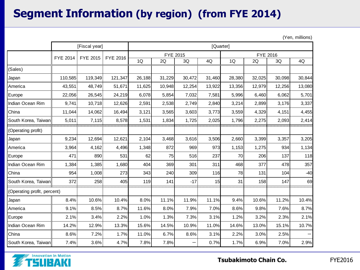### **Segment Information (by region) (from FYE 2014)**

|                             |                 | [Fiscal year] |          | [Quarter] |          |        |        |          |        |        |        |  |
|-----------------------------|-----------------|---------------|----------|-----------|----------|--------|--------|----------|--------|--------|--------|--|
|                             | <b>FYE 2014</b> | FYE 2015      | FYE 2016 |           | FYE 2015 |        |        | FYE 2016 |        |        |        |  |
|                             |                 |               |          | 1Q        | 2Q       | 3Q     | 4Q     | 1Q       | 2Q     | 3Q     | 4Q     |  |
| (Sales)                     |                 |               |          |           |          |        |        |          |        |        |        |  |
| Japan                       | 110,585         | 119,349       | 121,347  | 26,188    | 31,229   | 30,472 | 31,460 | 28,380   | 32,025 | 30,098 | 30,844 |  |
| America                     | 43,551          | 48,749        | 51,671   | 11,625    | 10,948   | 12,254 | 13,922 | 13,356   | 12,979 | 12,256 | 13,080 |  |
| Europe                      | 22,056          | 26,545        | 24,219   | 6,078     | 5,854    | 7,032  | 7,581  | 5,996    | 6,460  | 6,062  | 5,701  |  |
| Indian Ocean Rim            | 9,741           | 10,718        | 12,626   | 2,591     | 2,538    | 2,749  | 2,840  | 3,214    | 2,899  | 3,176  | 3,337  |  |
| China                       | 11,044          | 14,062        | 16,494   | 3,121     | 3,565    | 3,603  | 3,773  | 3,559    | 4,329  | 4,151  | 4,455  |  |
| South Korea, Taiwan         | 5,011           | 7,115         | 8,578    | 1,531     | 1,834    | 1,725  | 2,025  | 1,796    | 2,275  | 2,093  | 2,414  |  |
| (Operating profit)          |                 |               |          |           |          |        |        |          |        |        |        |  |
| Japan                       | 9,234           | 12,694        | 12,621   | 2,104     | 3,468    | 3,616  | 3,506  | 2,660    | 3,399  | 3,357  | 3,205  |  |
| America                     | 3,964           | 4,162         | 4,496    | 1,348     | 872      | 969    | 973    | 1,153    | 1,275  | 934    | 1,134  |  |
| Europe                      | 471             | 890           | 531      | 62        | 75       | 516    | 237    | 70       | 206    | 137    | 118    |  |
| Indian Ocean Rim            | 1,384           | 1,385         | 1,680    | 404       | 369      | 301    | 311    | 468      | 377    | 478    | 357    |  |
| China                       | 954             | 1,008         | 273      | 343       | 240      | 309    | 116    | 78       | 131    | 104    | $-40$  |  |
| South Korea, Taiwan         | 372             | 258           | 405      | 119       | 141      | $-17$  | 15     | 31       | 158    | 147    | 69     |  |
| (Operating profit, percent) |                 |               |          |           |          |        |        |          |        |        |        |  |
| Japan                       | 8.4%            | 10.6%         | 10.4%    | 8.0%      | 11.1%    | 11.9%  | 11.1%  | 9.4%     | 10.6%  | 11.2%  | 10.4%  |  |
| America                     | 9.1%            | 8.5%          | 8.7%     | 11.6%     | 8.0%     | 7.9%   | 7.0%   | 8.6%     | 9.8%   | 7.6%   | 8.7%   |  |
| Europe                      | 2.1%            | 3.4%          | 2.2%     | 1.0%      | 1.3%     | 7.3%   | 3.1%   | 1.2%     | 3.2%   | 2.3%   | 2.1%   |  |
| Indian Ocean Rim            | 14.2%           | 12.9%         | 13.3%    | 15.6%     | 14.5%    | 10.9%  | 11.0%  | 14.6%    | 13.0%  | 15.1%  | 10.7%  |  |
| China                       | 8.6%            | 7.2%          | 1.7%     | 11.0%     | 6.7%     | 8.6%   | 3.1%   | 2.2%     | 3.0%   | 2.5%   |        |  |
| South Korea, Taiwan         | 7.4%            | 3.6%          | 4.7%     | 7.8%      | 7.8%     |        | 0.7%   | 1.7%     | 6.9%   | 7.0%   | 2.9%   |  |

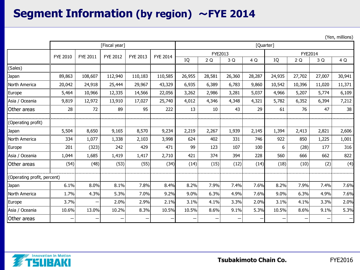### **Segment Information (by region)** ~**FYE 2014**

|                             | [Fiscal year]   |                 |                 |                 |                 |                 | [Quarter] |        |        |        |                   |        |                   |  |
|-----------------------------|-----------------|-----------------|-----------------|-----------------|-----------------|-----------------|-----------|--------|--------|--------|-------------------|--------|-------------------|--|
|                             | <b>FYE 2010</b> | <b>FYE 2011</b> | <b>FYE 2012</b> | <b>FYE 2013</b> | <b>FYE 2014</b> |                 | FYE2013   |        |        |        | <b>FYE2014</b>    |        |                   |  |
|                             |                 |                 |                 |                 |                 | 1Q              | 2Q        | 3 Q    | 4 Q    | 1Q     | 2 Q               | 3 Q    | 4 Q               |  |
| (Sales)                     |                 |                 |                 |                 |                 |                 |           |        |        |        |                   |        |                   |  |
| Japan                       | 89,863          | 108,607         | 112,940         | 110,183         | 110,585         | 26,955          | 28,581    | 26,360 | 28,287 | 24,935 | 27,702            | 27,007 | 30,941            |  |
| North America               | 20,042          | 24,918          | 25,444          | 29,967          | 43,329          | 6,935           | 6,389     | 6,783  | 9,860  | 10,542 | 10,396            | 11,020 | 11,371            |  |
| Europe                      | 5,464           | 10,966          | 12,335          | 14,566          | 22,056          | 3,262           | 2,986     | 3,281  | 5,037  | 4,966  | 5,207             | 5,774  | 6,109             |  |
| Asia / Oceania              | 9,819           | 12,972          | 13,910          | 17,027          | 25,740          | 4,012           | 4,346     | 4,348  | 4,321  | 5,782  | 6,352             | 6,394  | 7,212             |  |
| Other areas                 | 28              | 72              | 89              | 95              | 222             | 13              | 10        | 43     | 29     | 61     | 76                | 47     | 38                |  |
| (Operating profit)          |                 |                 |                 |                 |                 |                 |           |        |        |        |                   |        |                   |  |
| Japan                       | 5,504           | 8,650           | 9,165           | 8,570           | 9,234           | 2,219           | 2,267     | 1,939  | 2,145  | 1,394  | 2,413             | 2,821  | 2,606             |  |
| North America               | 334             | 1,077           | 1,338           | 2,103           | 3,998           | 624             | 402       | 331    | 746    | 922    | 850               | 1,225  | 1,001             |  |
| Europe                      | 201             | (323)           | 242             | 429             | 471             | 99              | 123       | 107    | 100    | 6      | (28)              | 177    | 316               |  |
| Asia / Oceania              | 1,044           | 1,685           | 1,419           | 1,417           | 2,710           | 421             | 374       | 394    | 228    | 560    | 666               | 662    | 822               |  |
| Other areas                 | (54)            | (48)            | (53)            | (55)            | (34)            | (14)            | (15)      | (12)   | (14)   | (18)   | (10)              | (2)    | (4)               |  |
| (Operating profit, percent) |                 |                 |                 |                 |                 |                 |           |        |        |        |                   |        |                   |  |
| Japan                       | 6.1%            | 8.0%            | 8.1%            | 7.8%            | 8.4%            | 8.2%            | 7.9%      | 7.4%   | 7.6%   | 8.2%   | 7.9%              | 7.4%   | 7.6%              |  |
| North America               | 1.7%            | 4.3%            | 5.3%            | 7.0%            | 9.2%            | 9.0%            | 6.3%      | 4.9%   | 7.6%   | 9.0%   | 6.3%              | 4.9%   | 7.6%              |  |
| Europe                      | 3.7%            | —               | 2.0%            | 2.9%            | 2.1%            | 3.1%            | 4.1%      | 3.3%   | 2.0%   | 3.1%   | 4.1%              | 3.3%   | 2.0%              |  |
| Asia / Oceania              | 10.6%           | 13.0%           | 10.2%           | 8.3%            | 10.5%           | 10.5%           | 8.6%      | 9.1%   | 5.3%   | 10.5%  | 8.6%              | 9.1%   | 5.3%              |  |
| Other areas                 |                 | —               |                 | $\qquad \qquad$ |                 | $\qquad \qquad$ |           |        |        |        | $\qquad \qquad -$ |        | $\qquad \qquad -$ |  |

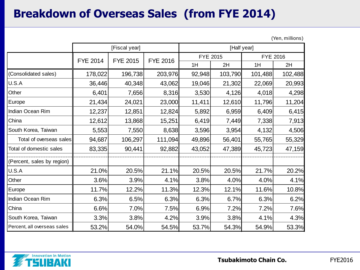# **Breakdown of Overseas Sales (from FYE 2014)**

|                             |                 | [Fiscal year]   |                 | [Half year]     |         |                 |         |  |  |
|-----------------------------|-----------------|-----------------|-----------------|-----------------|---------|-----------------|---------|--|--|
|                             | <b>FYE 2014</b> | <b>FYE 2015</b> | <b>FYE 2016</b> | <b>FYE 2015</b> |         | <b>FYE 2016</b> |         |  |  |
|                             |                 |                 |                 | 1H              | 2H      | 1H              | 2H      |  |  |
| (Consolidated sales)        | 178,022         | 196,738         | 203,976         | 92,948          | 103,790 | 101,488         | 102,488 |  |  |
| U.S.A                       | 36,446          | 40,348          | 43,062          | 19,046          | 21,302  | 22,069          | 20,993  |  |  |
| Other                       | 6,401           | 7,656           | 8,316           | 3,530           | 4,126   | 4,018           | 4,298   |  |  |
| Europe                      | 21,434          | 24,021          | 23,000          | 11,411          | 12,610  | 11,796          | 11,204  |  |  |
| Indian Ocean Rim            | 12,237          | 12,851          | 12,824          | 5,892           | 6,959   | 6,409           | 6,415   |  |  |
| China                       | 12,612          | 13,868          | 15,251          | 6,419           | 7,449   | 7,338           | 7,913   |  |  |
| South Korea, Taiwan         | 5,553           | 7,550           | 8,638           | 3,596           | 3,954   | 4,132           | 4,506   |  |  |
| Total of overseas sales     | 94,687          | 106,297         | 111,094         | 49,896          | 56,401  | 55,765          | 55,329  |  |  |
| Total of domestic sales     | 83,335          | 90,441          | 92,882          | 43,052          | 47,389  | 45,723          | 47,159  |  |  |
| (Percent, sales by region)  |                 |                 |                 |                 |         |                 |         |  |  |
| U.S.A                       | 21.0%           | 20.5%           | 21.1%           | 20.5%           | 20.5%   | 21.7%           | 20.2%   |  |  |
| Other                       | 3.6%            | 3.9%            | 4.1%            | 3.8%            | 4.0%    | 4.0%            | 4.1%    |  |  |
| Europe                      | 11.7%           | 12.2%           | 11.3%           | 12.3%           | 12.1%   | 11.6%           | 10.8%   |  |  |
| Indian Ocean Rim            | 6.3%            | 6.5%            | 6.3%            | 6.3%            | 6.7%    | 6.3%            | 6.2%    |  |  |
| China                       | 6.6%            | 7.0%            | 7.5%            | 6.9%            | 7.2%    | 7.2%            | 7.6%    |  |  |
| South Korea, Taiwan         | 3.3%            | 3.8%            | 4.2%            | 3.9%            | 3.8%    | 4.1%            | 4.3%    |  |  |
| Percent, all overseas sales | 53.2%           | 54.0%           | 54.5%           | 53.7%           | 54.3%   | 54.9%           | 53.3%   |  |  |

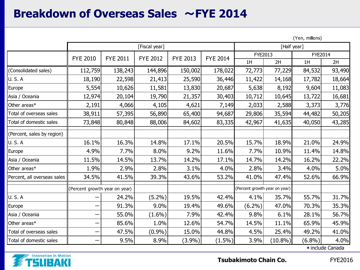#### **Breakdown of Overseas Sales** ~**FYE 2014**

(Yen, millions)

|                             |                               |                 | [Fiscal year]   | [Half year]     |                 |                               |            |                |                  |
|-----------------------------|-------------------------------|-----------------|-----------------|-----------------|-----------------|-------------------------------|------------|----------------|------------------|
|                             |                               |                 |                 |                 |                 | FYE2013                       |            | <b>FYE2014</b> |                  |
|                             | <b>FYE 2010</b>               | <b>FYE 2011</b> | <b>FYE 2012</b> | <b>FYE 2013</b> | <b>FYE 2014</b> | 1H                            | 2H         | 1H             | 2H               |
| (Consolidated sales)        | 112,759                       | 138,243         | 144,896         | 150,002         | 178,022         | 72,773                        | 77,229     | 84,532         | 93,490           |
| <b>U.S.A</b>                | 18,190                        | 22,598          | 21,413          | 25,590          | 36,446          | 11,422                        | 14,168     | 17,782         | 18,664           |
| Europe                      | 5,554                         | 10,626          | 11,581          | 13,830          | 20,687          | 5,638                         | 8,192      | 9,604          | 11,083           |
| Asia / Oceania              | 12,974                        | 20,104          | 19,790          | 21,357          | 30,403          | 10,712                        | 10,645     | 13,722         | 16,681           |
| Other areas*                | 2,191                         | 4,066           | 4,105           | 4,621           | 7,149           | 2,033                         | 2,588      | 3,373          | 3,776            |
| Total of overseas sales     | 38,911                        | 57,395          | 56,890          | 65,400          | 94,687          | 29,806                        | 35,594     | 44,482         | 50,205           |
| Total of domestic sales     | 73,848                        | 80,848          | 88,006          | 84,602          | 83,335          | 42,967                        | 41,635     | 40,050         | 43,285           |
| (Percent, sales by region)  |                               |                 |                 |                 |                 |                               |            |                |                  |
| <b>U.S.A</b>                | 16.1%                         | 16.3%           | 14.8%           | 17.1%           | 20.5%           | 15.7%                         | 18.9%      | 21.0%          | 24.9%            |
| Europe                      | 4.9%                          | 7.7%            | 8.0%            | 9.2%            | 11.6%           | 7.7%                          | 10.9%      | 11.4%          | 14.8%            |
| Asia / Oceania              | 11.5%                         | 14.5%           | 13.7%           | 14.2%           | 17.1%           | 14.7%                         | 14.2%      | 16.2%          | 22.2%            |
| Other areas*                | 1.9%                          | 2.9%            | 2.8%            | 3.1%            | 4.0%            | 2.8%                          | 3.4%       | 4.0%           | 5.0%             |
| Percent, all overseas sales | 34.5%                         | 41.5%           | 39.3%           | 43.6%           | 53.2%           | 41.0%                         | 47.4%      | 52.6%          | 66.9%            |
|                             | (Percent growth year on year) |                 |                 |                 |                 | (Percent growth year on year) |            |                |                  |
| <b>U.S.A</b>                |                               | 24.2%           | $(5.2\%)$       | 19.5%           | 42.4%           | 4.1%                          | 35.7%      | 55.7%          | 31.7%            |
| Europe                      |                               | 91.3%           | 9.0%            | 19.4%           | 49.6%           | $(6.2\%)$                     | 47.0%      | 70.3%          | 35.3%            |
| Asia / Oceania              |                               | 55.0%           | $(1.6\%)$       | 7.9%            | 42.4%           | 9.8%                          | 6.1%       | 28.1%          | 56.7%            |
| Other areas*                |                               | 85.6%           | 1.0%            | 12.6%           | 54.7%           | 14.5%                         | 11.1%      | 65.9%          | 45.9%            |
| Total of overseas sales     |                               | 47.5%           | (0.9%)          | 15.0%           | 44.8%           | 4.5%                          | 25.4%      | 49.2%          | 41.0%            |
| Total of domestic sales     |                               | 9.5%            | 8.9%            | (3.9%)          | $(1.5\%)$       | 3.9%                          | $(10.8\%)$ | $(6.8\%)$      | 4.0%             |
|                             |                               |                 |                 |                 |                 |                               |            |                | * include Canada |

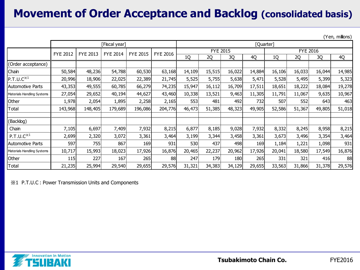# **Movement of Order Acceptance and Backlog (consolidated basis)**

(Yen, millions)

|                            |                             | [Quarter] |                 |                 |                 |        |                 |        |        |                 |        |        |        |
|----------------------------|-----------------------------|-----------|-----------------|-----------------|-----------------|--------|-----------------|--------|--------|-----------------|--------|--------|--------|
|                            | <b>FYE 2012</b><br>FYE 2013 |           | <b>FYE 2014</b> | <b>FYE 2015</b> | <b>FYE 2016</b> |        | <b>FYE 2015</b> |        |        | <b>FYE 2016</b> |        |        |        |
|                            |                             |           |                 |                 |                 | 1Q     | 2Q              | 3Q     | 4Q     | 1Q              | 2Q     | 3Q     | 4Q     |
| (Order acceptance)         |                             |           |                 |                 |                 |        |                 |        |        |                 |        |        |        |
| Chain                      | 50,584                      | 48,236    | 54,788          | 60,530          | 63,168          | 14,109 | 15,515          | 16,022 | 14,884 | 16,106          | 16,033 | 16,044 | 14,985 |
| P.T.U.C <sup>×1</sup>      | 20,996                      | 18,906    | 22,025          | 22,389          | 21,745          | 5,525  | 5,755           | 5,638  | 5,471  | 5,528           | 5,495  | 5,399  | 5,323  |
| <b>Automotive Parts</b>    | 43,353                      | 49,555    | 60,785          | 66,279          | 74,235          | 15,947 | 16,112          | 16,709 | 17,511 | 18,651          | 18,222 | 18,084 | 19,278 |
| Materials Handling Systems | 27,054                      | 29,652    | 40,194          | 44,627          | 43,460          | 10,338 | 13,521          | 9,463  | 11,305 | 11,791          | 11,067 | 9,635  | 10,967 |
| Other                      | 1,978                       | 2,054     | 1,895           | 2,258           | 2,165           | 553    | 481             | 492    | 732    | 507             | 552    | 643    | 463    |
| Total                      | 143,968                     | 148,405   | 179,689         | 196,086         | 204,776         | 46,473 | 51,385          | 48,323 | 49,905 | 52,586          | 51,367 | 49,805 | 51,018 |
| (Backlog)                  |                             |           |                 |                 |                 |        |                 |        |        |                 |        |        |        |
| Chain                      | 7,105                       | 6,697     | 7,409           | 7,932           | 8,215           | 6,877  | 8,185           | 9,028  | 7,932  | 8,332           | 8,245  | 8,958  | 8,215  |
| P.T.U.C <sup>×1</sup>      | 2,699                       | 2,320     | 3,072           | 3,361           | 3,464           | 3,199  | 3,344           | 3,458  | 3,361  | 3,673           | 3,496  | 3,354  | 3,464  |
| <b>Automotive Parts</b>    | 597                         | 755       | 867             | 169             | 931             | 530    | 437             | 498    | 169    | 1,184           | 1,221  | 1,098  | 931    |
| Materials Handling Systems | 10,717                      | 15,993    | 18,023          | 17,926          | 16,876          | 20,465 | 22,237          | 20,962 | 17,926 | 20,041          | 18,580 | 17,549 | 16,876 |
| Other                      | 115                         | 227       | 167             | 265             | 88              | 247    | 179             | 180    | 265    | 331             | 321    | 416    | 88     |
| <b>Total</b>               | 21,235                      | 25,994    | 29,540          | 29,655          | 29,576          | 31,321 | 34,383          | 34,129 | 29,655 | 33,563          | 31,866 | 31,378 | 29,576 |

※1 P.T.U.C : Power Transmission Units and Components